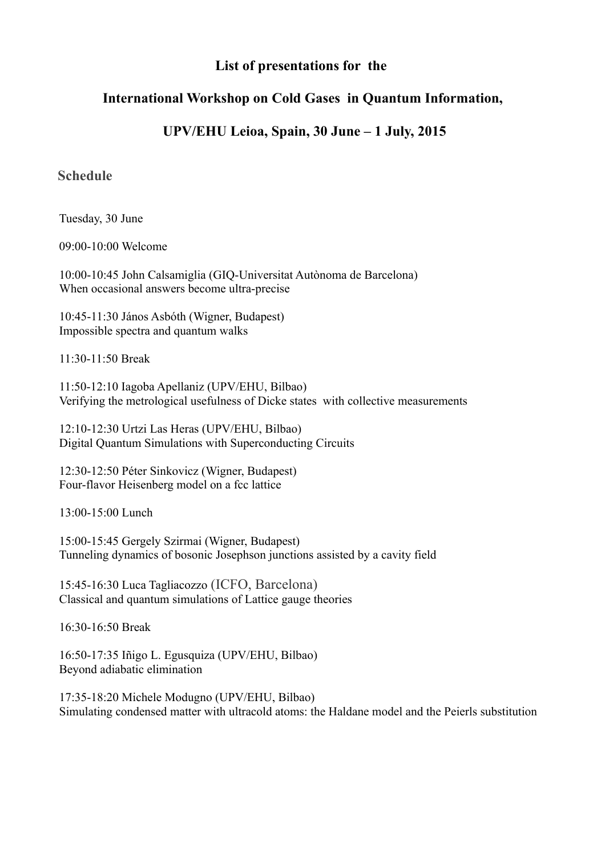## **List of presentations for the**

## **International Workshop on Cold Gases in Quantum Information,**

## **UPV/EHU Leioa, Spain, 30 June – 1 July, 2015**

## **Schedule**

Tuesday, 30 June

09:00-10:00 Welcome

10:00-10:45 John Calsamiglia (GIQ-Universitat Autònoma de Barcelona) When occasional answers become ultra-precise

10:45-11:30 János Asbóth (Wigner, Budapest) Impossible spectra and quantum walks

11:30-11:50 Break

11:50-12:10 Iagoba Apellaniz (UPV/EHU, Bilbao) Verifying the metrological usefulness of Dicke states with collective measurements

12:10-12:30 Urtzi Las Heras (UPV/EHU, Bilbao) Digital Quantum Simulations with Superconducting Circuits

12:30-12:50 Péter Sinkovicz (Wigner, Budapest) Four-flavor Heisenberg model on a fcc lattice

13:00-15:00 Lunch

15:00-15:45 Gergely Szirmai (Wigner, Budapest) Tunneling dynamics of bosonic Josephson junctions assisted by a cavity field

15:45-16:30 Luca Tagliacozzo (ICFO, Barcelona) Classical and quantum simulations of Lattice gauge theories

16:30-16:50 Break

16:50-17:35 Iñigo L. Egusquiza (UPV/EHU, Bilbao) Beyond adiabatic elimination

17:35-18:20 Michele Modugno (UPV/EHU, Bilbao) Simulating condensed matter with ultracold atoms: the Haldane model and the Peierls substitution